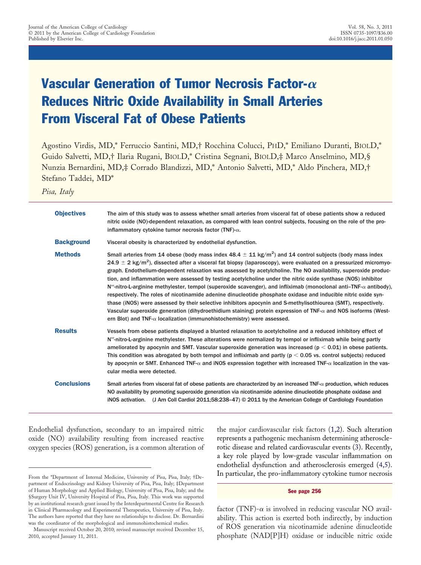# Vascular Generation of Tumor Necrosis Factor- $\alpha$ Reduces Nitric Oxide Availability in Small Arteries From Visceral Fat of Obese Patients

Agostino Virdis, MD,\* Ferruccio Santini, MD,† Rocchina Colucci, PHD,\* Emiliano Duranti, BIOLD,\* Guido Salvetti, MD,† Ilaria Rugani, BIOLD,\* Cristina Segnani, BIOLD,‡ Marco Anselmino, MD,§ Nunzia Bernardini, MD,‡ Corrado Blandizzi, MD,\* Antonio Salvetti, MD,\* Aldo Pinchera, MD,† Stefano Taddei, MD\*

*Pisa, Italy*

| <b>Objectives</b>  | The aim of this study was to assess whether small arteries from visceral fat of obese patients show a reduced<br>nitric oxide (NO)-dependent relaxation, as compared with lean control subjects, focusing on the role of the pro-<br>inflammatory cytokine tumor necrosis factor (TNF)- $\alpha$ .                                                                                                                                                                                                                                                                                                                                                                                                                                                                                                                                                                                                                                                                                                                                                                                    |  |  |
|--------------------|---------------------------------------------------------------------------------------------------------------------------------------------------------------------------------------------------------------------------------------------------------------------------------------------------------------------------------------------------------------------------------------------------------------------------------------------------------------------------------------------------------------------------------------------------------------------------------------------------------------------------------------------------------------------------------------------------------------------------------------------------------------------------------------------------------------------------------------------------------------------------------------------------------------------------------------------------------------------------------------------------------------------------------------------------------------------------------------|--|--|
| <b>Background</b>  | Visceral obesity is characterized by endothelial dysfunction.                                                                                                                                                                                                                                                                                                                                                                                                                                                                                                                                                                                                                                                                                                                                                                                                                                                                                                                                                                                                                         |  |  |
| <b>Methods</b>     | Small arteries from 14 obese (body mass index 48.4 $\pm$ 11 kg/m <sup>2</sup> ) and 14 control subjects (body mass index<br>$24.9 \pm 2$ kg/m <sup>2</sup> ), dissected after a visceral fat biopsy (laparoscopy), were evaluated on a pressurized micromyo-<br>graph. Endothelium-dependent relaxation was assessed by acetylcholine. The NO availability, superoxide produc-<br>tion, and inflammation were assessed by testing acetylcholine under the nitric oxide synthase (NOS) inhibitor<br>$N^{\omega}$ -nitro-L-arginine methylester, tempol (superoxide scavenger), and infliximab (monoclonal anti-TNF- $\alpha$ antibody),<br>respectively. The roles of nicotinamide adenine dinucleotide phosphate oxidase and inducible nitric oxide syn-<br>thase (iNOS) were assessed by their selective inhibitors apocynin and S-methylisothiourea (SMT), respectively.<br>Vascular superoxide generation (dihydroethidium staining) protein expression of TNF- $\alpha$ and NOS isoforms (West-<br>ern Blot) and TNF- $\alpha$ localization (immunohistochemistry) were assessed. |  |  |
| <b>Results</b>     | Vessels from obese patients displayed a blunted relaxation to acetylcholine and a reduced inhibitory effect of<br>$N^{\omega}$ -nitro-L-arginine methylester. These alterations were normalized by tempol or infliximab while being partly<br>ameliorated by apocynin and SMT. Vascular superoxide generation was increased ( $p < 0.01$ ) in obese patients.<br>This condition was abrogated by both tempol and infliximab and partly ( $p < 0.05$ vs. control subjects) reduced<br>by apocynin or SMT. Enhanced TNF- $\alpha$ and iNOS expression together with increased TNF- $\alpha$ localization in the vas-<br>cular media were detected.                                                                                                                                                                                                                                                                                                                                                                                                                                      |  |  |
| <b>Conclusions</b> | Small arteries from visceral fat of obese patients are characterized by an increased TNF- $\alpha$ production, which reduces<br>NO availability by promoting superoxide generation via nicotinamide adenine dinucleotide phosphate oxidase and<br>(J Am Coll Cardiol 2011;58:238-47) © 2011 by the American College of Cardiology Foundation<br><b>iNOS</b> activation.                                                                                                                                                                                                                                                                                                                                                                                                                                                                                                                                                                                                                                                                                                               |  |  |

Endothelial dysfunction, secondary to an impaired nitric oxide (NO) availability resulting from increased reactive oxygen species (ROS) generation, is a common alteration of the major cardiovascular risk factors (1,2). Such alteration represents a pathogenic mechanism determining atherosclerotic disease and related cardiovascular events (3). Recently, a key role played by low-grade vascular inflammation on endothelial dysfunction and atherosclerosis emerged (4,5). In particular, the pro-inflammatory cytokine tumor necrosis

#### See page 256

factor (TNF)- $\alpha$  is involved in reducing vascular NO availability. This action is exerted both indirectly, by induction of ROS generation via nicotinamide adenine dinucleotide phosphate (NAD[P]H) oxidase or inducible nitric oxide

From the \*Department of Internal Medicine, University of Pisa, Pisa, Italy; †Department of Endocrinology and Kidney University of Pisa, Pisa, Italy; ‡Department of Human Morphology and Applied Biology, University of Pisa, Pisa, Italy; and the §Surgery Unit IV, University Hospital of Pisa, Pisa, Italy. This work was supported by an institutional research grant issued by the Interdepartmental Centre for Research in Clinical Pharmacology and Experimental Therapeutics, University of Pisa, Italy. The authors have reported that they have no relationships to disclose. Dr. Bernardini was the coordinator of the morphological and immunohistochemical studies.

Manuscript received October 20, 2010; revised manuscript received December 15, 2010, accepted January 11, 2011.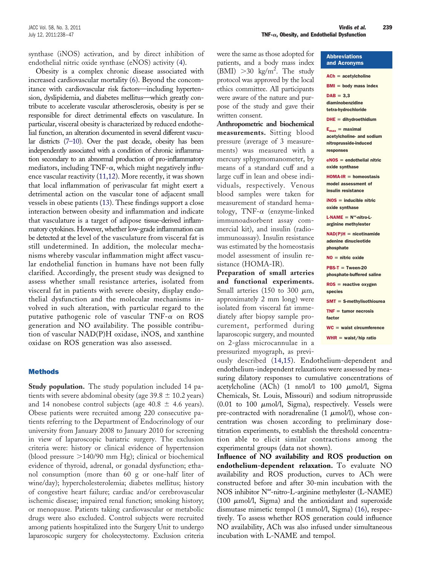synthase (iNOS) activation, and by direct inhibition of endothelial nitric oxide synthase (eNOS) activity (4).

Obesity is a complex chronic disease associated with increased cardiovascular mortality (6). Beyond the concomitance with cardiovascular risk factors—including hypertension, dyslipidemia, and diabetes mellitus—which greatly contribute to accelerate vascular atherosclerosis, obesity is per se responsible for direct detrimental effects on vasculature. In particular, visceral obesity is characterized by reduced endothelial function, an alteration documented in several different vascular districts (7–10). Over the past decade, obesity has been independently associated with a condition of chronic inflammation secondary to an abnormal production of pro-inflammatory mediators, including TNF- $\alpha$ , which might negatively influence vascular reactivity (11,12). More recently, it was shown that local inflammation of perivascular fat might exert a detrimental action on the vascular tone of adjacent small vessels in obese patients (13). These findings support a close interaction between obesity and inflammation and indicate that vasculature is a target of adipose tissue-derived inflammatory cytokines. However, whether low-grade inflammation can be detected at the level of the vasculature from visceral fat is still undetermined. In addition, the molecular mechanisms whereby vascular inflammation might affect vascular endothelial function in humans have not been fully clarified. Accordingly, the present study was designed to assess whether small resistance arteries, isolated from visceral fat in patients with severe obesity, display endothelial dysfunction and the molecular mechanisms involved in such alteration, with particular regard to the putative pathogenic role of vascular TNF- $\alpha$  on ROS generation and NO availability. The possible contribution of vascular NAD(P)H oxidase, iNOS, and xanthine oxidase on ROS generation was also assessed.

### **Methods**

**Study population.** The study population included 14 patients with severe abdominal obesity (age  $39.8 \pm 10.2$  years) and 14 nonobese control subjects (age  $40.8 \pm 4.6$  years). Obese patients were recruited among 220 consecutive patients referring to the Department of Endocrinology of our university from January 2008 to January 2010 for screening in view of laparoscopic bariatric surgery. The exclusion criteria were: history or clinical evidence of hypertension (blood pressure  $>$ 140/90 mm Hg); clinical or biochemical evidence of thyroid, adrenal, or gonadal dysfunction; ethanol consumption (more than 60 g or one-half liter of wine/day); hypercholesterolemia; diabetes mellitus; history of congestive heart failure; cardiac and/or cerebrovascular ischemic disease; impaired renal function; smoking history; or menopause. Patients taking cardiovascular or metabolic drugs were also excluded. Control subjects were recruited among patients hospitalized into the Surgery Unit to undergo laparoscopic surgery for cholecystectomy. Exclusion criteria

were the same as those adopted for patients, and a body mass index (BMI)  $>$  30 kg/m<sup>2</sup>. The study protocol was approved by the local ethics committee. All participants were aware of the nature and purpose of the study and gave their written consent.

**Anthropometric and biochemical measurements.** Sitting blood pressure (average of 3 measurements) was measured with a mercury sphygmomanometer, by means of a standard cuff and a large cuff in lean and obese individuals, respectively. Venous blood samples were taken for measurement of standard hematology, TNF- $\alpha$  (enzyme-linked immunoadsorbent assay commercial kit), and insulin (radioimmunoassay). Insulin resistance was estimated by the homeostasis model assessment of insulin resistance (HOMA-IR).

**Preparation of small arteries and functional experiments.** Small arteries (150 to 300  $\mu$ m, approximately 2 mm long) were isolated from visceral fat immediately after biopsy sample procurement, performed during laparoscopic surgery, and mounted on 2-glass microcannulae in a pressurized myograph, as previ-

#### Abbreviations and Acronyms

```
ACh = acetylcholine
BMI = body mass index
\mathsf{DAB} = 3,3diaminobenzidine
tetra-hydrochloride
DHE = dihydroethidium
E_{\text{max}} = \text{maximal}acetylcholine- and sodium
nitroprusside-induced
responses
eNOS = endothelial nitric
oxide synthase
HOMA-IR = homeostasismodel assessment of
insulin resistance
iNOS = inducible nitric
oxide synthase
L\text{-}NAME = N^{\omega}-nitro-L-
arginine methylester
NAD(P)H = nicotinamideadenine dinucleotide
phosphate
NO = nitric oxide
PBS-T = Tween-20phosphate-buffered saline
ROS = reactive oxygen
species
SMT = S-methylisothiourea
TNF = tumor necrosis
factor
WC = waist circumference
WHR = waist/hip ratio
```
ously described (14,15). Endothelium-dependent and endothelium-independent relaxations were assessed by measuring dilatory responses to cumulative concentrations of acetylcholine (ACh) (1 nmol/l to 100  $\mu$ mol/l, Sigma Chemicals, St. Louis, Missouri) and sodium nitroprusside  $(0.01 \text{ to } 100 \mu \text{mol/l}, \text{Sigma})$ , respectively. Vessels were pre-contracted with noradrenaline  $(1 \ \mu \text{mol/l})$ , whose concentration was chosen according to preliminary dosetitration experiments, to establish the threshold concentration able to elicit similar contractions among the experimental groups (data not shown).

**Influence of NO availability and ROS production on endothelium-dependent relaxation.** To evaluate NO availability and ROS production, curves to ACh were constructed before and after 30-min incubation with the NOS inhibitor N<sup>∞</sup>-nitro-L-arginine methylester (L-NAME) (100  $\mu$ mol/l, Sigma) and the antioxidant and superoxide dismutase mimetic tempol (1 mmol/l, Sigma) (16), respectively. To assess whether ROS generation could influence NO availability, ACh was also infused under simultaneous incubation with L-NAME and tempol.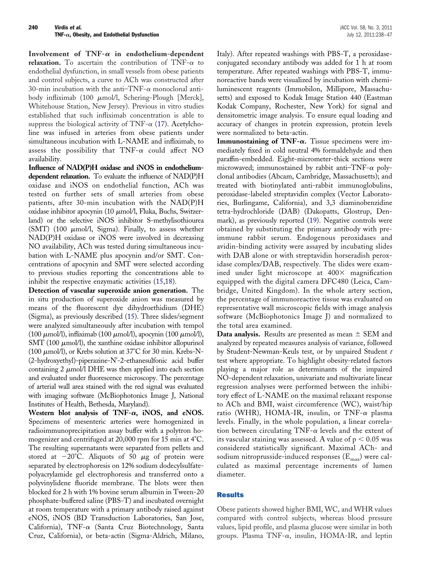Involvement of  $TNF-\alpha$  in endothelium-dependent **relaxation.** To ascertain the contribution of TNF- $\alpha$  to endothelial dysfunction, in small vessels from obese patients and control subjects, a curve to ACh was constructed after 30-min incubation with the anti-TNF- $\alpha$  monoclonal antibody infliximab (100  $\mu$ mol/l, Schering-Plough [Merck], Whitehouse Station, New Jersey). Previous in vitro studies established that such infliximab concentration is able to suppress the biological activity of TNF- $\alpha$  (17). Acetylcholine was infused in arteries from obese patients under simultaneous incubation with L-NAME and infliximab, to assess the possibility that  $TNF-\alpha$  could affect NO availability.

**Influence of NAD(P)H oxidase and iNOS in endotheliumdependent relaxation.** To evaluate the influence of NAD(P)H oxidase and iNOS on endothelial function, ACh was tested on further sets of small arteries from obese patients, after 30-min incubation with the NAD(P)H oxidase inhibitor apocynin (10  $\mu$ mol/l, Fluka, Buchs, Switzerland) or the selective iNOS inhibitor S-methylisothiourea (SMT) (100  $\mu$ mol/l, Sigma). Finally, to assess whether NAD(P)H oxidase or iNOS were involved in decreasing NO availability, ACh was tested during simultaneous incubation with L-NAME plus apocynin and/or SMT. Concentrations of apocynin and SMT were selected according to previous studies reporting the concentrations able to inhibit the respective enzymatic activities (15,18).

**Detection of vascular superoxide anion generation.** The in situ production of superoxide anion was measured by means of the fluorescent dye dihydroethidium (DHE) (Sigma), as previously described (15). Three slides/segment were analyzed simultaneously after incubation with tempol  $(100 \mu \text{mol/l})$ , infliximab  $(100 \mu \text{mol/l})$ , apocynin  $(100 \mu \text{mol/l})$ , SMT (100  $\mu$ mol/l), the xanthine oxidase inhibitor allopurinol (100  $\mu$ mol/l), or Krebs solution at 37°C for 30 min. Krebs-N-(2-hydroxyethyl)-piperazine-N'-2-ethanesulfonic acid buffer containing  $2 \mu$ mol/l DHE was then applied into each section and evaluated under fluorescence microscopy. The percentage of arterial wall area stained with the red signal was evaluated with imaging software (McBiophotonics Image J, National Institutes of Health, Bethesda, Maryland).

Western blot analysis of  $TNF-\alpha$ , iNOS, and eNOS. Specimens of mesenteric arteries were homogenized in radioimmunoprecipitation assay buffer with a polytron homogenizer and centrifuged at 20,000 rpm for 15 min at 4°C. The resulting supernatants were separated from pellets and stored at  $-20^{\circ}$ C. Aliquots of 50  $\mu$ g of protein were separated by electrophoresis on 12% sodium dodecylsulfatepolyacrylamide gel electrophoresis and transferred onto a polyvinylidene fluoride membrane. The blots were then blocked for 2 h with 1% bovine serum albumin in Tween-20 phosphate-buffered saline (PBS-T) and incubated overnight at room temperature with a primary antibody raised against eNOS, iNOS (BD Transduction Laboratories, San Jose, California), TNF- $\alpha$  (Santa Cruz Biotechnology, Santa Cruz, California), or beta-actin (Sigma-Aldrich, Milano,

Italy). After repeated washings with PBS-T, a peroxidaseconjugated secondary antibody was added for 1 h at room temperature. After repeated washings with PBS-T, immunoreactive bands were visualized by incubation with chemiluminescent reagents (Immobilon, Millipore, Massachusetts) and exposed to Kodak Image Station 440 (Eastman Kodak Company, Rochester, New York) for signal and densitometric image analysis. To ensure equal loading and accuracy of changes in protein expression, protein levels were normalized to beta-actin.

**Immunostaining of TNF-** $\alpha$ **.** Tissue specimens were immediately fixed in cold neutral 4% formaldehyde and then paraffin-embedded. Eight-micrometer-thick sections were microwaved; immunostained by rabbit anti-TNF- $\alpha$  polyclonal antibodies (Abcam, Cambridge, Massachusetts); and treated with biotinylated anti-rabbit immunoglobulins, peroxidase-labeled streptavidin complex (Vector Laboratories, Burlingame, California), and 3,3 diaminobenzidine tetra-hydrochloride (DAB) (Dakopatts, Glostrup, Denmark), as previously reported (19). Negative controls were obtained by substituting the primary antibody with preimmune rabbit serum. Endogenous peroxidases and avidin-binding activity were assayed by incubating slides with DAB alone or with streptavidin horseradish peroxidase complex/DAB, respectively. The slides were examined under light microscope at  $400\times$  magnification equipped with the digital camera DFC480 (Leica, Cambridge, United Kingdom). In the whole artery section, the percentage of immunoreactive tissue was evaluated on representative wall microscopic fields with image analysis software (McBiophotonics Image J) and normalized to the total area examined.

**Data analysis.** Results are presented as mean  $\pm$  SEM and analyzed by repeated measures analysis of variance, followed by Student-Newman-Keuls test, or by unpaired Student *t* test where appropriate. To highlight obesity-related factors playing a major role as determinants of the impaired NO-dependent relaxation, univariate and multivariate linear regression analyses were performed between the inhibitory effect of L-NAME on the maximal relaxant response to ACh and BMI, waist circumference (WC), waist/hip ratio (WHR), HOMA-IR, insulin, or TNF- $\alpha$  plasma levels. Finally, in the whole population, a linear correlation between circulating TNF- $\alpha$  levels and the extent of its vascular staining was assessed. A value of p  $<$  0.05 was considered statistically significant. Maximal ACh- and sodium nitroprusside-induced responses  $(E_{\text{max}})$  were calculated as maximal percentage increments of lumen diameter.

# Results

Obese patients showed higher BMI, WC, and WHR values compared with control subjects, whereas blood pressure values, lipid profile, and plasma glucose were similar in both groups. Plasma TNF- $\alpha$ , insulin, HOMA-IR, and leptin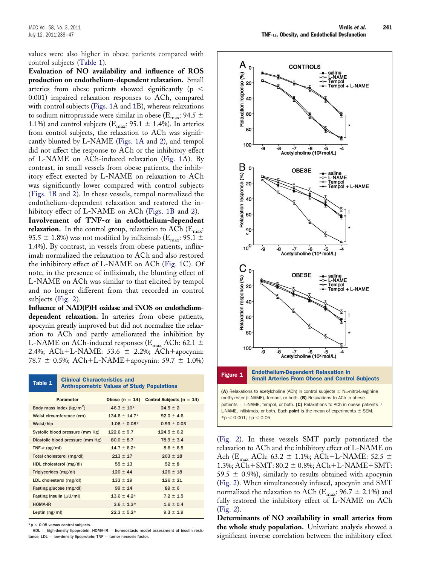values were also higher in obese patients compared with control subjects (Table 1).

**Evaluation of NO availability and influence of ROS production on endothelium-dependent relaxation.** Small arteries from obese patients showed significantly (p  $<$ 0.001) impaired relaxation responses to ACh, compared with control subjects (Figs. 1A and 1B), whereas relaxations to sodium nitroprusside were similar in obese ( $E_{\text{max}}$ : 94.5  $\pm$ 1.1%) and control subjects ( $E_{\text{max}}$ : 95.1  $\pm$  1.4%). In arteries from control subjects, the relaxation to ACh was significantly blunted by L-NAME (Figs. 1A and 2), and tempol did not affect the response to ACh or the inhibitory effect of L-NAME on ACh-induced relaxation (Fig. 1A). By contrast, in small vessels from obese patients, the inhibitory effect exerted by L-NAME on relaxation to ACh was significantly lower compared with control subjects (Figs. 1B and 2). In these vessels, tempol normalized the endothelium-dependent relaxation and restored the inhibitory effect of L-NAME on ACh (Figs. 1B and 2).

Involvement of  $TNF-\alpha$  in endothelium-dependent relaxation. In the control group, relaxation to ACh (E<sub>max</sub>: 95.5  $\pm$  1.8%) was not modified by infliximab (E<sub>max</sub>: 95.1  $\pm$ 1.4%). By contrast, in vessels from obese patients, infliximab normalized the relaxation to ACh and also restored the inhibitory effect of L-NAME on ACh (Fig. 1C). Of note, in the presence of infliximab, the blunting effect of L-NAME on ACh was similar to that elicited by tempol and no longer different from that recorded in control subjects (Fig. 2).

**Influence of NAD(P)H oxidase and iNOS on endotheliumdependent relaxation.** In arteries from obese patients, apocynin greatly improved but did not normalize the relaxation to ACh and partly ameliorated the inhibition by L-NAME on ACh-induced responses ( $E_{\text{max}}$  ACh: 62.1  $\pm$ 2.4%; ACh+L-NAME:  $53.6 \pm 2.2$ %; ACh+apocynin: 78.7  $\pm$  0.5%; ACh+L-NAME+apocynin: 59.7  $\pm$  1.0%)

| Table 1                          | <b>Clinical Characteristics and</b><br><b>Anthropometric Values of Study Populations</b> |                    |                               |
|----------------------------------|------------------------------------------------------------------------------------------|--------------------|-------------------------------|
| <b>Parameter</b>                 |                                                                                          | Obese ( $n = 14$ ) | Control Subjects ( $n = 14$ ) |
| Body mass index $(kg/m^2)$       |                                                                                          | $46.3 \pm 10^{*}$  | $24.5 \pm 2$                  |
| Waist circumference (cm)         |                                                                                          | $134.6 \pm 14.7*$  | $92.0 \pm 4.6$                |
| Waist/hip                        |                                                                                          | $1.06 \pm 0.08*$   | $0.93 \pm 0.03$               |
| Systolic blood pressure (mm Hg)  |                                                                                          | $122.6 \pm 9.7$    | $124.5 \pm 6.2$               |
| Diastolic blood pressure (mm Hg) |                                                                                          | $80.0 \pm 8.7$     | $78.9 \pm 3.4$                |
| TNF- $\alpha$ (pg/ml)            |                                                                                          | $14.7 \pm 6.2*$    | $8.6 \pm 6.5$                 |
| Total cholesterol (mg/dl)        |                                                                                          | $213 \pm 17$       | $203 \pm 18$                  |
| HDL cholesterol (mg/dl)          |                                                                                          | $55 \pm 13$        | $52 \pm 8$                    |
| Triglycerides (mg/dl)            |                                                                                          | $120 \pm 44$       | $126 \pm 18$                  |
| LDL cholesterol (mg/dl)          |                                                                                          | $133 \pm 19$       | $126 \pm 21$                  |
| Fasting glucose (mg/dl)          |                                                                                          | $99 \pm 14$        | $89 \pm 6$                    |
| Fasting insulin $(\mu U/ml)$     |                                                                                          | $13.6 \pm 4.2*$    | $7.2 \pm 1.5$                 |
| <b>HOMA-IR</b>                   |                                                                                          | $3.6 \pm 1.3*$     | $1.6 \pm 0.4$                 |
| Leptin $(ng/ml)$                 |                                                                                          | $22.3 + 5.2*$      | $9.3 \pm 1.9$                 |

 $*$ p < 0.05 versus control subjects.

 $HDL = high-density lipoprotein; HOMA-IR = homeostasis model assessment of insulin resis$ tance;  $LDL = low-density lipoprotein$ ; TNF  $=$  tumor necrosis factor.



(Fig. 2). In these vessels SMT partly potentiated the relaxation to ACh and the inhibitory effect of L-NAME on Ach ( $E_{\text{max}}$  ACh: 63.2  $\pm$  1.1%; ACh+L-NAME: 52.5  $\pm$ 1.3%; ACh + SMT:  $80.2 \pm 0.8$ %; ACh + L-NAME + SMT: 59.5  $\pm$  0.9%), similarly to results obtained with apocynin (Fig. 2). When simultaneously infused, apocynin and SMT normalized the relaxation to ACh ( $E_{\text{max}}$ : 96.7  $\pm$  2.1%) and fully restored the inhibitory effect of L-NAME on ACh (Fig. 2).

**Determinants of NO availability in small arteries from the whole study population.** Univariate analysis showed a significant inverse correlation between the inhibitory effect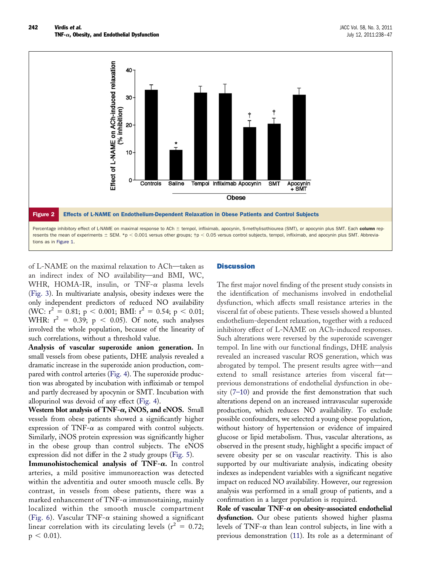

of L-NAME on the maximal relaxation to ACh—taken as an indirect index of NO availability—and BMI, WC, WHR, HOMA-IR, insulin, or TNF- $\alpha$  plasma levels (Fig. 3). In multivariate analysis, obesity indexes were the only independent predictors of reduced NO availability (WC:  $r^2 = 0.81$ ;  $p < 0.001$ ; BMI:  $r^2 = 0.54$ ;  $p < 0.01$ ; WHR:  $r^2 = 0.39$ ;  $p < 0.05$ ). Of note, such analyses involved the whole population, because of the linearity of such correlations, without a threshold value.

**Analysis of vascular superoxide anion generation.** In small vessels from obese patients, DHE analysis revealed a dramatic increase in the superoxide anion production, compared with control arteries (Fig. 4). The superoxide production was abrogated by incubation with infliximab or tempol and partly decreased by apocynin or SMT. Incubation with allopurinol was devoid of any effect (Fig. 4).

**Western blot analysis of TNF-** $\alpha$ **, iNOS, and eNOS.** Small vessels from obese patients showed a significantly higher expression of TNF- $\alpha$  as compared with control subjects. Similarly, iNOS protein expression was significantly higher in the obese group than control subjects. The eNOS expression did not differ in the 2 study groups (Fig. 5).

**Immunohistochemical analysis of TNF-.** In control arteries, a mild positive immunoreaction was detected within the adventitia and outer smooth muscle cells. By contrast, in vessels from obese patients, there was a marked enhancement of TNF- $\alpha$  immunostaining, mainly localized within the smooth muscle compartment (Fig. 6). Vascular TNF- $\alpha$  staining showed a significant linear correlation with its circulating levels ( $r^2 = 0.72$ ;  $p < 0.01$ ).

# **Discussion**

The first major novel finding of the present study consists in the identification of mechanisms involved in endothelial dysfunction, which affects small resistance arteries in the visceral fat of obese patients. These vessels showed a blunted endothelium-dependent relaxation, together with a reduced inhibitory effect of L-NAME on ACh-induced responses. Such alterations were reversed by the superoxide scavenger tempol. In line with our functional findings, DHE analysis revealed an increased vascular ROS generation, which was abrogated by tempol. The present results agree with—and extend to small resistance arteries from visceral fat previous demonstrations of endothelial dysfunction in obesity (7–10) and provide the first demonstration that such alterations depend on an increased intravascular superoxide production, which reduces NO availability. To exclude possible confounders, we selected a young obese population, without history of hypertension or evidence of impaired glucose or lipid metabolism. Thus, vascular alterations, as observed in the present study, highlight a specific impact of severe obesity per se on vascular reactivity. This is also supported by our multivariate analysis, indicating obesity indexes as independent variables with a significant negative impact on reduced NO availability. However, our regression analysis was performed in a small group of patients, and a confirmation in a larger population is required.

Role of vascular TNF- $\alpha$  on obesity-associated endothelial **dysfunction.** Our obese patients showed higher plasma levels of TNF- $\alpha$  than lean control subjects, in line with a previous demonstration (11). Its role as a determinant of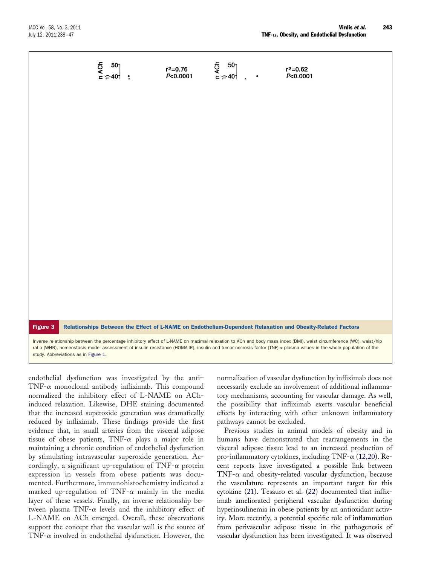Figure 3 Relationships Between the Effect of L-NAME on Endothelium-Dependent Relaxation and Obesity-Related Factors Inverse relationship between the percentage inhibitory effect of L-NAME on maximal relaxation to ACh and body mass index (BMI), waist circumference (WC), waist/hip ratio (WHR), homeostasis model assessment of insulin resistance (HOMA-IR), insulin and tumor necrosis factor (TNF)- $\alpha$  plasma values in the whole population of the

endothelial dysfunction was investigated by the anti– TNF- $\alpha$  monoclonal antibody infliximab. This compound normalized the inhibitory effect of L-NAME on AChinduced relaxation. Likewise, DHE staining documented that the increased superoxide generation was dramatically reduced by infliximab. These findings provide the first evidence that, in small arteries from the visceral adipose tissue of obese patients, TNF- $\alpha$  plays a major role in maintaining a chronic condition of endothelial dysfunction by stimulating intravascular superoxide generation. Accordingly, a significant up-regulation of TNF- $\alpha$  protein expression in vessels from obese patients was documented. Furthermore, immunohistochemistry indicated a marked up-regulation of TNF- $\alpha$  mainly in the media layer of these vessels. Finally, an inverse relationship between plasma TNF- $\alpha$  levels and the inhibitory effect of L-NAME on ACh emerged. Overall, these observations support the concept that the vascular wall is the source of TNF- $\alpha$  involved in endothelial dysfunction. However, the

study. Abbreviations as in Figure 1.

normalization of vascular dysfunction by infliximab does not necessarily exclude an involvement of additional inflammatory mechanisms, accounting for vascular damage. As well, the possibility that infliximab exerts vascular beneficial effects by interacting with other unknown inflammatory pathways cannot be excluded.

Previous studies in animal models of obesity and in humans have demonstrated that rearrangements in the visceral adipose tissue lead to an increased production of pro-inflammatory cytokines, including TNF- $\alpha$  (12,20). Recent reports have investigated a possible link between TNF- $\alpha$  and obesity-related vascular dysfunction, because the vasculature represents an important target for this cytokine (21). Tesauro et al. (22) documented that infliximab ameliorated peripheral vascular dysfunction during hyperinsulinemia in obese patients by an antioxidant activity. More recently, a potential specific role of inflammation from perivascular adipose tissue in the pathogenesis of vascular dysfunction has been investigated. It was observed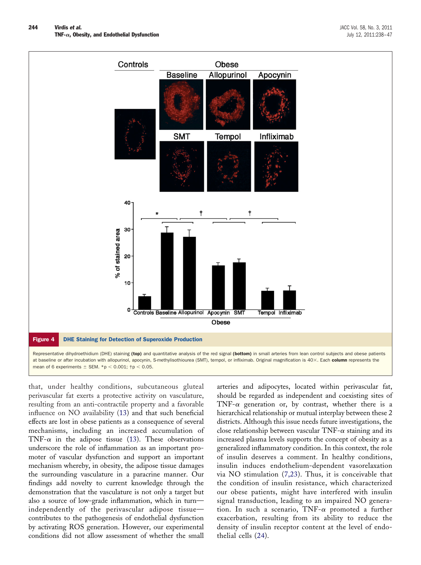

mean of 6 experiments  $\pm$  SEM. \*p  $<$  0.001;  $\dagger$ p  $<$  0.05.

that, under healthy conditions, subcutaneous gluteal perivascular fat exerts a protective activity on vasculature, resulting from an anti-contractile property and a favorable influence on NO availability (13) and that such beneficial effects are lost in obese patients as a consequence of several mechanisms, including an increased accumulation of TNF- $\alpha$  in the adipose tissue (13). These observations underscore the role of inflammation as an important promoter of vascular dysfunction and support an important mechanism whereby, in obesity, the adipose tissue damages the surrounding vasculature in a paracrine manner. Our findings add novelty to current knowledge through the demonstration that the vasculature is not only a target but also a source of low-grade inflammation, which in turn independently of the perivascular adipose tissue contributes to the pathogenesis of endothelial dysfunction by activating ROS generation. However, our experimental conditions did not allow assessment of whether the small

arteries and adipocytes, located within perivascular fat, should be regarded as independent and coexisting sites of TNF- $\alpha$  generation or, by contrast, whether there is a hierarchical relationship or mutual interplay between these 2 districts. Although this issue needs future investigations, the close relationship between vascular  $TNF-\alpha$  staining and its increased plasma levels supports the concept of obesity as a generalized inflammatory condition. In this context, the role of insulin deserves a comment. In healthy conditions, insulin induces endothelium-dependent vasorelaxation via NO stimulation (7,23). Thus, it is conceivable that the condition of insulin resistance, which characterized our obese patients, might have interfered with insulin signal transduction, leading to an impaired NO generation. In such a scenario, TNF- $\alpha$  promoted a further exacerbation, resulting from its ability to reduce the density of insulin receptor content at the level of endothelial cells (24).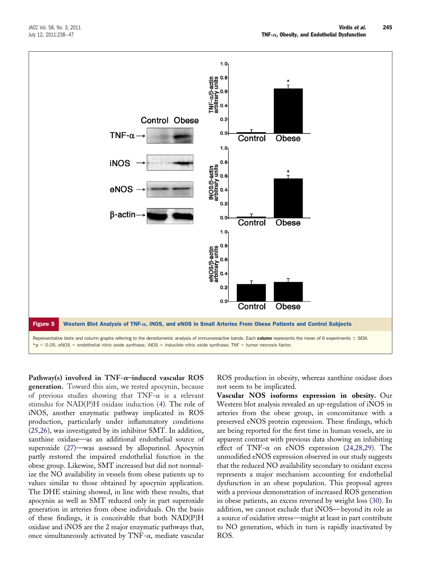![](_page_7_Figure_2.jpeg)

Pathway(s) involved in  $TNF-\alpha$ -induced vascular ROS **generation.** Toward this aim, we tested apocynin, because of previous studies showing that  $TNF-\alpha$  is a relevant stimulus for NAD(P)H oxidase induction (4). The role of iNOS, another enzymatic pathway implicated in ROS production, particularly under inflammatory conditions (25,26), was investigated by its inhibitor SMT. In addition, xanthine oxidase—as an additional endothelial source of superoxide (27)—was assessed by allopurinol. Apocynin partly restored the impaired endothelial function in the obese group. Likewise, SMT increased but did not normalize the NO availability in vessels from obese patients up to values similar to those obtained by apocynin application. The DHE staining showed, in line with these results, that apocynin as well as SMT reduced only in part superoxide generation in arteries from obese individuals. On the basis of these findings, it is conceivable that both NAD(P)H oxidase and iNOS are the 2 major enzymatic pathways that, once simultaneously activated by TNF- $\alpha$ , mediate vascular

ROS production in obesity, whereas xanthine oxidase does not seem to be implicated.

**Vascular NOS isoforms expression in obesity.** Our Western blot analysis revealed an up-regulation of iNOS in arteries from the obese group, in concomitance with a preserved eNOS protein expression. These findings, which are being reported for the first time in human vessels, are in apparent contrast with previous data showing an inhibiting effect of TNF- $\alpha$  on eNOS expression (24,28,29). The unmodified eNOS expression observed in our study suggests that the reduced NO availability secondary to oxidant excess represents a major mechanism accounting for endothelial dysfunction in an obese population. This proposal agrees with a previous demonstration of increased ROS generation in obese patients, an excess reversed by weight loss (30). In addition, we cannot exclude that iNOS—beyond its role as a source of oxidative stress—might at least in part contribute to NO generation, which in turn is rapidly inactivated by ROS.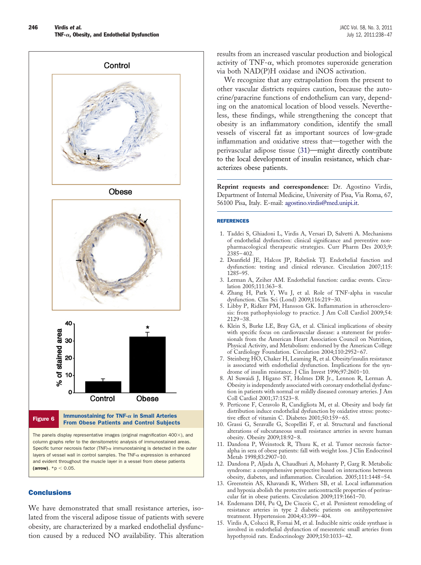![](_page_8_Figure_2.jpeg)

![](_page_8_Figure_3.jpeg)

![](_page_8_Figure_4.jpeg)

The panels display representative images (original magnification  $400\times$ ), and column graphs refer to the densitometric analysis of immunostained areas. Specific tumor necrosis factor (TNF)- $\alpha$  immunostaining is detected in the outer layers of vessel wall in control samples. The TNF- $\alpha$  expression is enhanced and evident throughout the muscle layer in a vessel from obese patients (arrow).  $*{\rm p} < 0.05$ .

# **Conclusions**

We have demonstrated that small resistance arteries, isolated from the visceral adipose tissue of patients with severe obesity, are characterized by a marked endothelial dysfunction caused by a reduced NO availability. This alteration

results from an increased vascular production and biological activity of TNF- $\alpha$ , which promotes superoxide generation via both NAD(P)H oxidase and iNOS activation.

We recognize that any extrapolation from the present to other vascular districts requires caution, because the autocrine/paracrine functions of endothelium can vary, depending on the anatomical location of blood vessels. Nevertheless, these findings, while strengthening the concept that obesity is an inflammatory condition, identify the small vessels of visceral fat as important sources of low-grade inflammation and oxidative stress that—together with the perivascular adipose tissue (31)—might directly contribute to the local development of insulin resistance, which characterizes obese patients.

**Reprint requests and correspondence:** Dr. Agostino Virdis, Department of Internal Medicine, University of Pisa, Via Roma, 67, 56100 Pisa, Italy. E-mail: [agostino.virdis@med.unipi.it.](mailto:agostino.virdis@med.unipi.it)

#### REFERENCES

- 1. Taddei S, Ghiadoni L, Virdis A, Versari D, Salvetti A. Mechanisms of endothelial dysfunction: clinical significance and preventive nonpharmacological therapeutic strategies. Curr Pharm Des 2003;9: 2385–402.
- 2. Deanfield JE, Halcox JP, Rabelink TJ. Endothelial function and dysfunction: testing and clinical relevance. Circulation 2007;115: 1285–95.
- 3. Lerman A, Zeiher AM. Endothelial function: cardiac events. Circulation 2005;111:363–8.
- 4. Zhang H, Park Y, Wu J, et al. Role of TNF-alpha in vascular dysfunction. Clin Sci (Lond) 2009;116:219–30.
- 5. Libby P, Ridker PM, Hansson GK. Inflammation in atherosclerosis: from pathophysiology to practice. J Am Coll Cardiol 2009;54: 2129–38.
- 6. Klein S, Burke LE, Bray GA, et al. Clinical implications of obesity with specific focus on cardiovascular disease: a statement for professionals from the American Heart Association Council on Nutrition, Physical Activity, and Metabolism: endorsed by the American College of Cardiology Foundation. Circulation 2004;110:2952–67.
- 7. Steinberg HO, Chaker H, Leaming R, et al. Obesity/insulin resistance is associated with endothelial dysfunction. Implications for the syndrome of insulin resistance. J Clin Invest 1996;97:2601–10.
- 8. Al Suwaidi J, Higano ST, Holmes DR Jr., Lennon R, Lerman A. Obesity is independently associated with coronary endothelial dysfunction in patients with normal or mildly diseased coronary arteries. J Am Coll Cardiol 2001;37:1523–8.
- 9. Perticone F, Ceravolo R, Candigliota M, et al. Obesity and body fat distribution induce endothelial dysfunction by oxidative stress: protective effect of vitamin C. Diabetes 2001;50:159–65.
- 10. Grassi G, Seravalle G, Scopelliti F, et al. Structural and functional alterations of subcutaneous small resistance arteries in severe human obesity. Obesity 2009;18:92–8.
- 11. Dandona P, Weinstock R, Thusu K, et al. Tumor necrosis factoralpha in sera of obese patients: fall with weight loss. J Clin Endocrinol Metab 1998;83:2907–10.
- 12. Dandona P, Aljada A, Chaudhuri A, Mohanty P, Garg R. Metabolic syndrome: a comprehensive perspective based on interactions between obesity, diabetes, and inflammation. Circulation. 2005;111:1448–54.
- 13. Greenstein AS, Khavandi K, Withers SB, et al. Local inflammation and hypoxia abolish the protective anticontractile properties of perivascular fat in obese patients. Circulation 2009;119:1661–70.
- 14. Endemann DH, Pu Q, De Ciuceis C, et al. Persistent remodeling of resistance arteries in type 2 diabetic patients on antihypertensive treatment. Hypertension 2004;43:399–404.
- 15. Virdis A, Colucci R, Fornai M, et al. Inducible nitric oxide synthase is involved in endothelial dysfunction of mesenteric small arteries from hypothyroid rats. Endocrinology 2009;150:1033–42.